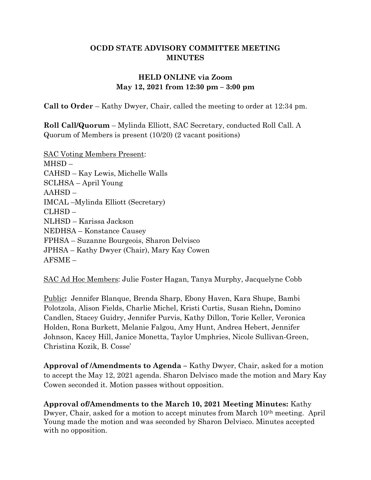### OCDD STATE ADVISORY COMMITTEE MEETING **MINUTES**

## HELD ONLINE via Zoom May 12, 2021 from 12:30 pm – 3:00 pm

Call to Order – Kathy Dwyer, Chair, called the meeting to order at 12:34 pm.

Roll Call/Quorum – Mylinda Elliott, SAC Secretary, conducted Roll Call. A Quorum of Members is present (10/20) (2 vacant positions)

SAC Voting Members Present: MHSD – CAHSD – Kay Lewis, Michelle Walls SCLHSA – April Young AAHSD – IMCAL –Mylinda Elliott (Secretary) CLHSD – NLHSD – Karissa Jackson NEDHSA – Konstance Causey FPHSA – Suzanne Bourgeois, Sharon Delvisco JPHSA – Kathy Dwyer (Chair), Mary Kay Cowen AFSME –

SAC Ad Hoc Members: Julie Foster Hagan, Tanya Murphy, Jacquelyne Cobb

Public: Jennifer Blanque, Brenda Sharp, Ebony Haven, Kara Shupe, Bambi Polotzola, Alison Fields, Charlie Michel, Kristi Curtis, Susan Riehn, Domino Candlen, Stacey Guidry, Jennifer Purvis, Kathy Dillon, Torie Keller, Veronica Holden, Rona Burkett, Melanie Falgou, Amy Hunt, Andrea Hebert, Jennifer Johnson, Kacey Hill, Janice Monetta, Taylor Umphries, Nicole Sullivan-Green, Christina Kozik, B. Cosse'

Approval of /Amendments to Agenda – Kathy Dwyer, Chair, asked for a motion to accept the May 12, 2021 agenda. Sharon Delvisco made the motion and Mary Kay Cowen seconded it. Motion passes without opposition.

Approval of/Amendments to the March 10, 2021 Meeting Minutes: Kathy Dwyer, Chair, asked for a motion to accept minutes from March 10<sup>th</sup> meeting. April Young made the motion and was seconded by Sharon Delvisco. Minutes accepted with no opposition.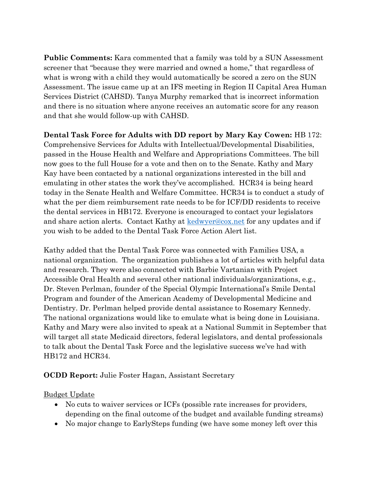Public Comments: Kara commented that a family was told by a SUN Assessment screener that "because they were married and owned a home," that regardless of what is wrong with a child they would automatically be scored a zero on the SUN Assessment. The issue came up at an IFS meeting in Region II Capital Area Human Services District (CAHSD). Tanya Murphy remarked that is incorrect information and there is no situation where anyone receives an automatic score for any reason and that she would follow-up with CAHSD.

Dental Task Force for Adults with DD report by Mary Kay Cowen: HB 172: Comprehensive Services for Adults with Intellectual/Developmental Disabilities, passed in the House Health and Welfare and Appropriations Committees. The bill now goes to the full House for a vote and then on to the Senate. Kathy and Mary Kay have been contacted by a national organizations interested in the bill and emulating in other states the work they've accomplished. HCR34 is being heard today in the Senate Health and Welfare Committee. HCR34 is to conduct a study of what the per diem reimbursement rate needs to be for ICF/DD residents to receive the dental services in HB172. Everyone is encouraged to contact your legislators and share action alerts. Contact Kathy at kedwyer@cox.net for any updates and if you wish to be added to the Dental Task Force Action Alert list.

Kathy added that the Dental Task Force was connected with Families USA, a national organization. The organization publishes a lot of articles with helpful data and research. They were also connected with Barbie Vartanian with Project Accessible Oral Health and several other national individuals/organizations, e.g., Dr. Steven Perlman, founder of the Special Olympic International's Smile Dental Program and founder of the American Academy of Developmental Medicine and Dentistry. Dr. Perlman helped provide dental assistance to Rosemary Kennedy. The national organizations would like to emulate what is being done in Louisiana. Kathy and Mary were also invited to speak at a National Summit in September that will target all state Medicaid directors, federal legislators, and dental professionals to talk about the Dental Task Force and the legislative success we've had with HB172 and HCR34.

#### OCDD Report: Julie Foster Hagan, Assistant Secretary

Budget Update

- No cuts to waiver services or ICFs (possible rate increases for providers, depending on the final outcome of the budget and available funding streams)
- No major change to EarlySteps funding (we have some money left over this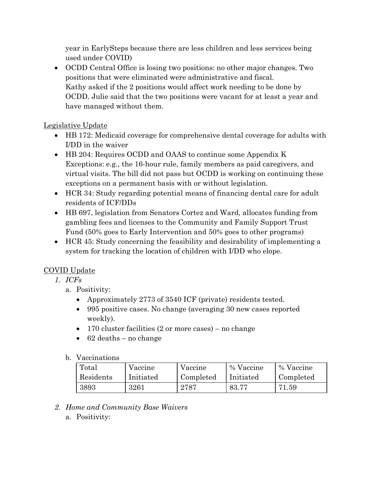year in EarlySteps because there are less children and less services being used under COVID)

• OCDD Central Office is losing two positions: no other major changes. Two positions that were eliminated were administrative and fiscal. Kathy asked if the 2 positions would affect work needing to be done by OCDD. Julie said that the two positions were vacant for at least a year and have managed without them.

## Legislative Update

- HB 172: Medicaid coverage for comprehensive dental coverage for adults with I/DD in the waiver
- HB 204: Requires OCDD and OAAS to continue some Appendix K Exceptions: e.g., the 16-hour rule, family members as paid caregivers, and virtual visits. The bill did not pass but OCDD is working on continuing these exceptions on a permanent basis with or without legislation.
- HCR 34: Study regarding potential means of financing dental care for adult residents of ICF/DDs
- HB 697, legislation from Senators Cortez and Ward, allocates funding from gambling fees and licenses to the Community and Family Support Trust Fund (50% goes to Early Intervention and 50% goes to other programs)
- HCR 45: Study concerning the feasibility and desirability of implementing a system for tracking the location of children with I/DD who elope.

## COVID Update

- 1. ICFs
	- a. Positivity:
		- Approximately 2773 of 3540 ICF (private) residents tested.
		- 995 positive cases. No change (averaging 30 new cases reported weekly).
		- 170 cluster facilities (2 or more cases) no change
		- $\bullet$  62 deaths no change

#### b. Vaccinations

| Total     | Vaccine   | Vaccine   | % Vaccine | % Vaccine |
|-----------|-----------|-----------|-----------|-----------|
| Residents | Initiated | Completed | Initiated | Completed |
| 3893      | 3261      | 2787      | - 83.77   | 71.59     |

- 2. Home and Community Base Waivers
	- a. Positivity: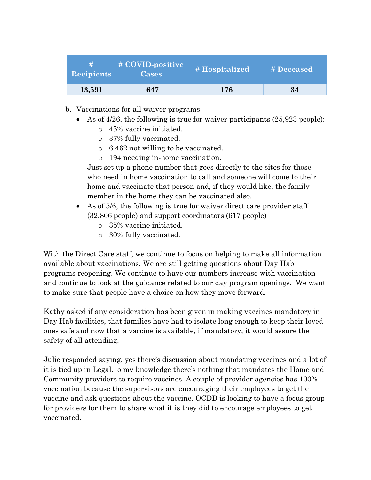| <b>Recipients</b> | # COVID-positive<br>Cases | # Hospitalized | # Deceased |
|-------------------|---------------------------|----------------|------------|
| 13,591            | 647                       | 176            | 34         |

- b. Vaccinations for all waiver programs:
	- As of 4/26, the following is true for waiver participants (25,923 people):
		- o 45% vaccine initiated.
		- o 37% fully vaccinated.
		- o 6,462 not willing to be vaccinated.
		- o 194 needing in-home vaccination.

Just set up a phone number that goes directly to the sites for those who need in home vaccination to call and someone will come to their home and vaccinate that person and, if they would like, the family member in the home they can be vaccinated also.

- As of 5/6, the following is true for waiver direct care provider staff (32,806 people) and support coordinators (617 people)
	- o 35% vaccine initiated.
	- o 30% fully vaccinated.

With the Direct Care staff, we continue to focus on helping to make all information available about vaccinations. We are still getting questions about Day Hab programs reopening. We continue to have our numbers increase with vaccination and continue to look at the guidance related to our day program openings. We want to make sure that people have a choice on how they move forward.

Kathy asked if any consideration has been given in making vaccines mandatory in Day Hab facilities, that families have had to isolate long enough to keep their loved ones safe and now that a vaccine is available, if mandatory, it would assure the safety of all attending.

Julie responded saying, yes there's discussion about mandating vaccines and a lot of it is tied up in Legal. o my knowledge there's nothing that mandates the Home and Community providers to require vaccines. A couple of provider agencies has 100% vaccination because the supervisors are encouraging their employees to get the vaccine and ask questions about the vaccine. OCDD is looking to have a focus group for providers for them to share what it is they did to encourage employees to get vaccinated.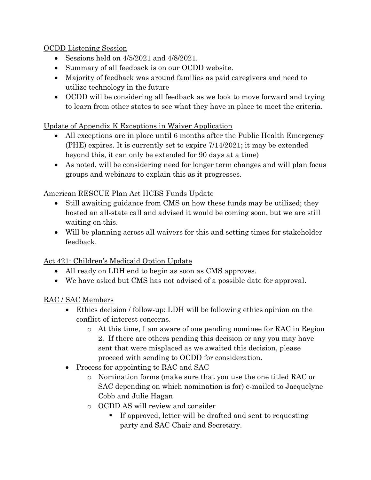OCDD Listening Session

- Sessions held on  $4/5/2021$  and  $4/8/2021$ .
- Summary of all feedback is on our OCDD website.
- Majority of feedback was around families as paid caregivers and need to utilize technology in the future
- OCDD will be considering all feedback as we look to move forward and trying to learn from other states to see what they have in place to meet the criteria.

## Update of Appendix K Exceptions in Waiver Application

- All exceptions are in place until 6 months after the Public Health Emergency (PHE) expires. It is currently set to expire 7/14/2021; it may be extended beyond this, it can only be extended for 90 days at a time)
- As noted, will be considering need for longer term changes and will plan focus groups and webinars to explain this as it progresses.

# American RESCUE Plan Act HCBS Funds Update

- Still awaiting guidance from CMS on how these funds may be utilized; they hosted an all-state call and advised it would be coming soon, but we are still waiting on this.
- Will be planning across all waivers for this and setting times for stakeholder feedback.

# Act 421: Children's Medicaid Option Update

- All ready on LDH end to begin as soon as CMS approves.
- We have asked but CMS has not advised of a possible date for approval.

## RAC / SAC Members

- Ethics decision / follow-up: LDH will be following ethics opinion on the conflict-of-interest concerns.
	- o At this time, I am aware of one pending nominee for RAC in Region 2. If there are others pending this decision or any you may have sent that were misplaced as we awaited this decision, please proceed with sending to OCDD for consideration.
- Process for appointing to RAC and SAC
	- o Nomination forms (make sure that you use the one titled RAC or SAC depending on which nomination is for) e-mailed to Jacquelyne Cobb and Julie Hagan
	- o OCDD AS will review and consider
		- If approved, letter will be drafted and sent to requesting party and SAC Chair and Secretary.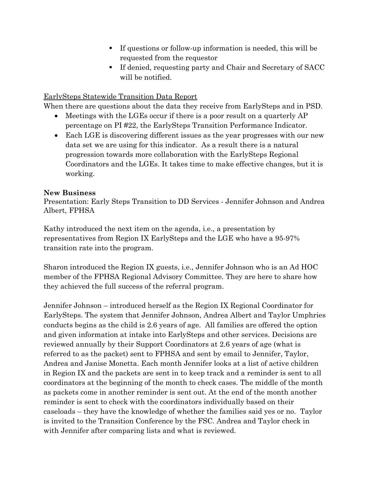- If questions or follow-up information is needed, this will be requested from the requestor
- If denied, requesting party and Chair and Secretary of SACC will be notified.

### EarlySteps Statewide Transition Data Report

When there are questions about the data they receive from EarlySteps and in PSD.

- Meetings with the LGEs occur if there is a poor result on a quarterly AP percentage on PI #22, the EarlySteps Transition Performance Indicator.
- Each LGE is discovering different issues as the year progresses with our new data set we are using for this indicator. As a result there is a natural progression towards more collaboration with the EarlySteps Regional Coordinators and the LGEs. It takes time to make effective changes, but it is working.

#### New Business

Presentation: Early Steps Transition to DD Services - Jennifer Johnson and Andrea Albert, FPHSA

Kathy introduced the next item on the agenda, i.e., a presentation by representatives from Region IX EarlySteps and the LGE who have a 95-97% transition rate into the program.

Sharon introduced the Region IX guests, i.e., Jennifer Johnson who is an Ad HOC member of the FPHSA Regional Advisory Committee. They are here to share how they achieved the full success of the referral program.

Jennifer Johnson – introduced herself as the Region IX Regional Coordinator for EarlySteps. The system that Jennifer Johnson, Andrea Albert and Taylor Umphries conducts begins as the child is 2.6 years of age. All families are offered the option and given information at intake into EarlySteps and other services. Decisions are reviewed annually by their Support Coordinators at 2.6 years of age (what is referred to as the packet) sent to FPHSA and sent by email to Jennifer, Taylor, Andrea and Janise Monetta. Each month Jennifer looks at a list of active children in Region IX and the packets are sent in to keep track and a reminder is sent to all coordinators at the beginning of the month to check cases. The middle of the month as packets come in another reminder is sent out. At the end of the month another reminder is sent to check with the coordinators individually based on their caseloads – they have the knowledge of whether the families said yes or no. Taylor is invited to the Transition Conference by the FSC. Andrea and Taylor check in with Jennifer after comparing lists and what is reviewed.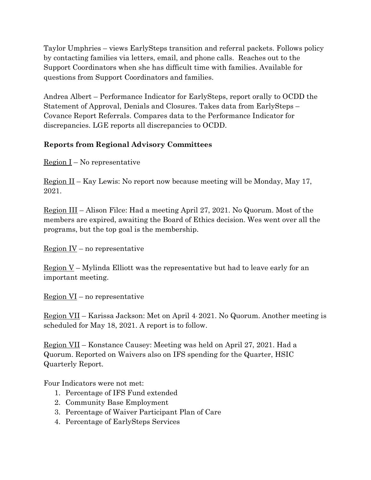Taylor Umphries – views EarlySteps transition and referral packets. Follows policy by contacting families via letters, email, and phone calls. Reaches out to the Support Coordinators when she has difficult time with families. Available for questions from Support Coordinators and families.

Andrea Albert – Performance Indicator for EarlySteps, report orally to OCDD the Statement of Approval, Denials and Closures. Takes data from EarlySteps – Covance Report Referrals. Compares data to the Performance Indicator for discrepancies. LGE reports all discrepancies to OCDD.

## Reports from Regional Advisory Committees

<u>Region I</u> – No representative

Region II – Kay Lewis: No report now because meeting will be Monday, May 17, 2021.

Region III – Alison Filce: Had a meeting April 27, 2021. No Quorum. Most of the members are expired, awaiting the Board of Ethics decision. Wes went over all the programs, but the top goal is the membership.

Region IV – no representative

<u>Region V</u> – Mylinda Elliott was the representative but had to leave early for an important meeting.

Region VI – no representative

Region VII – Karissa Jackson: Met on April 4, 2021. No Quorum. Another meeting is scheduled for May 18, 2021. A report is to follow.

Region VII – Konstance Causey: Meeting was held on April 27, 2021. Had a Quorum. Reported on Waivers also on IFS spending for the Quarter, HSIC Quarterly Report.

Four Indicators were not met:

- 1. Percentage of IFS Fund extended
- 2. Community Base Employment
- 3. Percentage of Waiver Participant Plan of Care
- 4. Percentage of EarlySteps Services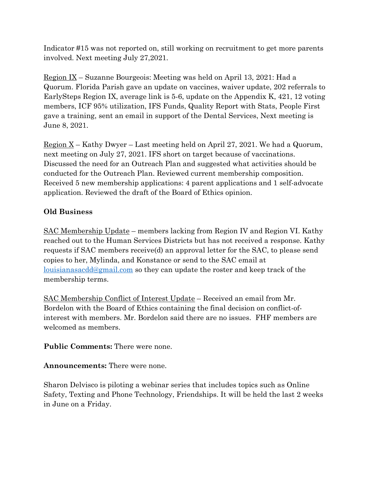Indicator #15 was not reported on, still working on recruitment to get more parents involved. Next meeting July 27,2021.

Region IX – Suzanne Bourgeois: Meeting was held on April 13, 2021: Had a Quorum. Florida Parish gave an update on vaccines, waiver update, 202 referrals to EarlySteps Region IX, average link is 5-6, update on the Appendix K, 421, 12 voting members, ICF 95% utilization, IFS Funds, Quality Report with Stats, People First gave a training, sent an email in support of the Dental Services, Next meeting is June 8, 2021.

Region X – Kathy Dwyer – Last meeting held on April 27, 2021. We had a Quorum, next meeting on July 27, 2021. IFS short on target because of vaccinations. Discussed the need for an Outreach Plan and suggested what activities should be conducted for the Outreach Plan. Reviewed current membership composition. Received 5 new membership applications: 4 parent applications and 1 self-advocate application. Reviewed the draft of the Board of Ethics opinion.

# Old Business

SAC Membership Update – members lacking from Region IV and Region VI. Kathy reached out to the Human Services Districts but has not received a response. Kathy requests if SAC members receive(d) an approval letter for the SAC, to please send copies to her, Mylinda, and Konstance or send to the SAC email at louisianasacdd@gmail.com so they can update the roster and keep track of the membership terms.

SAC Membership Conflict of Interest Update – Received an email from Mr. Bordelon with the Board of Ethics containing the final decision on conflict-ofinterest with members. Mr. Bordelon said there are no issues. FHF members are welcomed as members.

Public Comments: There were none.

Announcements: There were none.

Sharon Delvisco is piloting a webinar series that includes topics such as Online Safety, Texting and Phone Technology, Friendships. It will be held the last 2 weeks in June on a Friday.